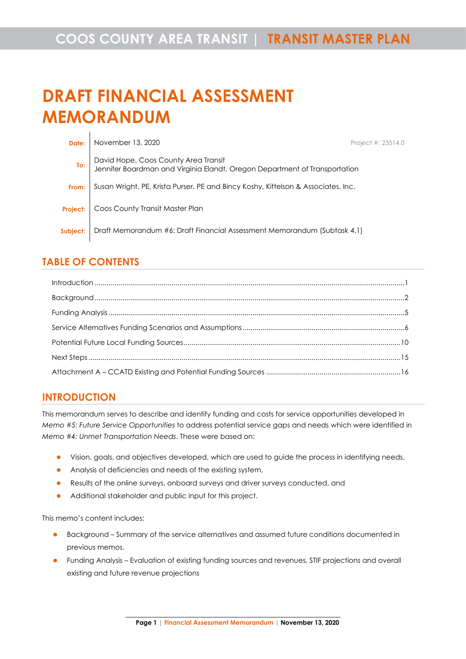# **DRAFT FINANCIAL ASSESSMENT MEMORANDUM**

| Date:                        | November 13, 2020                                                                                                  | Project #: 23514.0 |
|------------------------------|--------------------------------------------------------------------------------------------------------------------|--------------------|
| To: $\overline{\phantom{a}}$ | David Hope, Coos County Area Transit<br>Jennifer Boardman and Virginia Elandt, Oregon Department of Transportation |                    |
| From:                        | Susan Wright, PE, Krista Purser, PE and Bincy Koshy, Kittelson & Associates, Inc.                                  |                    |
| Project:                     | Coos County Transit Master Plan                                                                                    |                    |
| Subject:                     | Draft Memorandum #6: Draft Financial Assessment Memorandum (Subtask 4.1)                                           |                    |

# **TABLE OF CONTENTS**

 $\mathbf{r}$ 

# <span id="page-0-0"></span>**INTRODUCTION**

This memorandum serves to describe and identify funding and costs for service opportunities developed in *Memo #5: Future Service Opportunities* to address potential service gaps and needs which were identified in *Memo #4: Unmet Transportation Needs*. These were based on:

- ⚫ Vision, goals, and objectives developed, which are used to guide the process in identifying needs,
- Analysis of deficiencies and needs of the existing system,
- ⚫ Results of the online surveys, onboard surveys and driver surveys conducted, and
- ⚫ Additional stakeholder and public input for this project.

This memo's content includes:

- ⚫ Background Summary of the service alternatives and assumed future conditions documented in previous memos.
- ⚫ Funding Analysis Evaluation of existing funding sources and revenues, STIF projections and overall existing and future revenue projections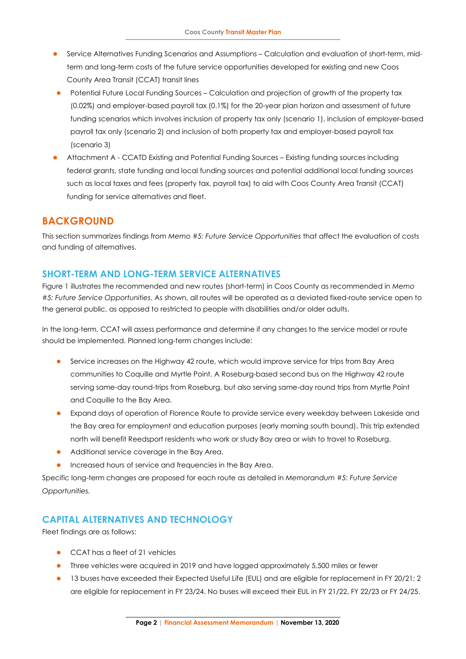- ⚫ Service Alternatives Funding Scenarios and Assumptions Calculation and evaluation of short-term, midterm and long-term costs of the future service opportunities developed for existing and new Coos County Area Transit (CCAT) transit lines
- Potential Future Local Funding Sources Calculation and projection of growth of the property tax (0.02%) and employer-based payroll tax (0.1%) for the 20-year plan horizon and assessment of future funding scenarios which involves inclusion of property tax only (scenario 1), inclusion of employer-based payroll tax only (scenario 2) and inclusion of both property tax and employer-based payroll tax (scenario 3)
- ⚫ Attachment A CCATD Existing and Potential Funding Sources Existing funding sources including federal grants, state funding and local funding sources and potential additional local funding sources such as local taxes and fees (property tax, payroll tax) to aid with Coos County Area Transit (CCAT) funding for service alternatives and fleet.

# <span id="page-1-0"></span>**BACKGROUND**

This section summarizes findings from *Memo #5: Future Service Opportunities* that affect the evaluation of costs and funding of alternatives.

# **SHORT-TERM AND LONG-TERM SERVICE ALTERNATIVES**

Figure 1 illustrates the recommended and new routes (short-term) in Coos County as recommended in *Memo #5: Future Service Opportunities*. As shown, all routes will be operated as a deviated fixed-route service open to the general public, as opposed to restricted to people with disabilities and/or older adults.

In the long-term, CCAT will assess performance and determine if any changes to the service model or route should be implemented. Planned long-term changes include:

- **•** Service increases on the Highway 42 route, which would improve service for trips from Bay Area communities to Coquille and Myrtle Point. A Roseburg-based second bus on the Highway 42 route serving same-day round-trips from Roseburg, but also serving same-day round trips from Myrtle Point and Coquille to the Bay Area.
- ⚫ Expand days of operation of Florence Route to provide service every weekday between Lakeside and the Bay area for employment and education purposes (early morning south bound). This trip extended north will benefit Reedsport residents who work or study Bay area or wish to travel to Roseburg.
- Additional service coverage in the Bay Area.
- ⚫ Increased hours of service and frequencies in the Bay Area.

Specific long-term changes are proposed for each route as detailed in *Memorandum #5: Future Service Opportunities.*

# **CAPITAL ALTERNATIVES AND TECHNOLOGY**

Fleet findings are as follows:

- CCAT has a fleet of 21 vehicles
- **•** Three vehicles were acquired in 2019 and have logged approximately 5,500 miles or fewer
- 13 buses have exceeded their Expected Useful Life (EUL) and are eligible for replacement in FY 20/21; 2 are eligible for replacement in FY 23/24. No buses will exceed their EUL in FY 21/22, FY 22/23 or FY 24/25.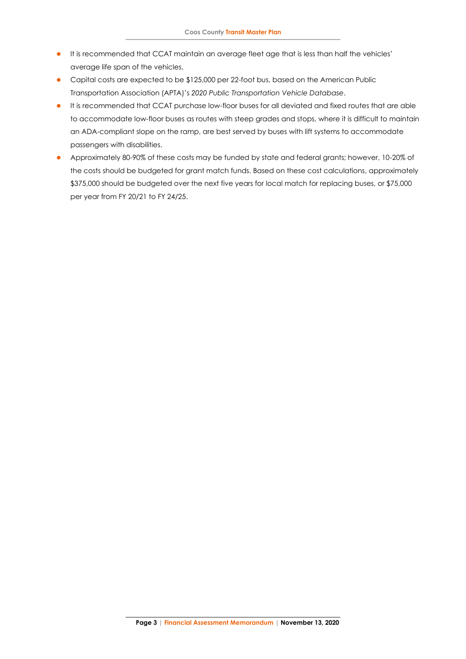- ⚫ It is recommended that CCAT maintain an average fleet age that is less than half the vehicles' average life span of the vehicles.
- ⚫ Capital costs are expected to be \$125,000 per 22-foot bus, based on the American Public Transportation Association (APTA)'s *2020 Public Transportation Vehicle Database*.
- ⚫ It is recommended that CCAT purchase low-floor buses for all deviated and fixed routes that are able to accommodate low-floor buses as routes with steep grades and stops, where it is difficult to maintain an ADA-compliant slope on the ramp, are best served by buses with lift systems to accommodate passengers with disabilities.
- <span id="page-2-0"></span>⚫ Approximately 80-90% of these costs may be funded by state and federal grants; however, 10-20% of the costs should be budgeted for grant match funds. Based on these cost calculations, approximately \$375,000 should be budgeted over the next five years for local match for replacing buses, or \$75,000 per year from FY 20/21 to FY 24/25.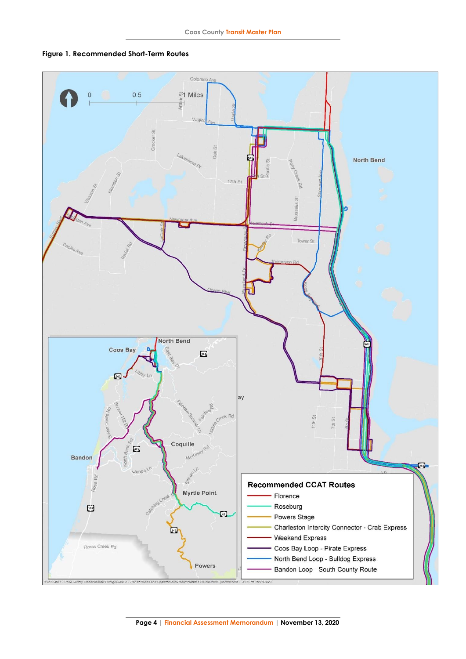

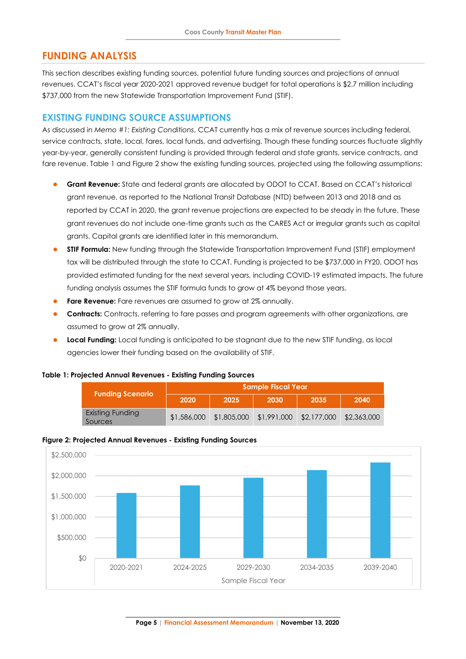# **FUNDING ANALYSIS**

This section describes existing funding sources, potential future funding sources and projections of annual revenues. CCAT's fiscal year 2020-2021 approved revenue budget for total operations is \$2.7 million including \$737,000 from the new Statewide Transportation Improvement Fund (STIF).

## **EXISTING FUNDING SOURCE ASSUMPTIONS**

As discussed in *Memo #1: Existing Conditions*, CCAT currently has a mix of revenue sources including federal, service contracts, state, local, fares, local funds, and advertising. Though these funding sources fluctuate slightly year-by-year, generally consistent funding is provided through federal and state grants, service contracts, and fare revenue. Table 1 and Figure 2 show the existing funding sources, projected using the following assumptions:

- ⚫ **Grant Revenue:** State and federal grants are allocated by ODOT to CCAT. Based on CCAT's historical grant revenue, as reported to the National Transit Database (NTD) between 2013 and 2018 and as reported by CCAT in 2020, the grant revenue projections are expected to be steady in the future. These grant revenues do not include one-time grants such as the CARES Act or irregular grants such as capital grants. Capital grants are identified later in this memorandum.
- ⚫ **STIF Formula:** New funding through the Statewide Transportation Improvement Fund (STIF) employment tax will be distributed through the state to CCAT. Funding is projected to be \$737,000 in FY20. ODOT has provided estimated funding for the next several years, including COVID-19 estimated impacts. The future funding analysis assumes the STIF formula funds to grow at 4% beyond those years.
- **Fare Revenue:** Fare revenues are assumed to grow at 2% annually.
- ⚫ **Contracts:** Contracts, referring to fare passes and program agreements with other organizations, are assumed to grow at 2% annually.
- **Local Funding:** Local funding is anticipated to be stagnant due to the new STIF funding, as local agencies lower their funding based on the availability of STIF.

#### **Table 1: Projected Annual Revenues - Existing Funding Sources**

| <b>Funding Scenario</b>     | <b>Sample Fiscal Year</b> |             |             |             |             |  |  |
|-----------------------------|---------------------------|-------------|-------------|-------------|-------------|--|--|
|                             | 2020                      | 2025        | 2030        | 2035        | 2040        |  |  |
| Existing Funding<br>Sources | \$1,586,000               | \$1,805,000 | \$1,991,000 | \$2,177,000 | \$2,363,000 |  |  |

#### **Figure 2: Projected Annual Revenues - Existing Funding Sources**

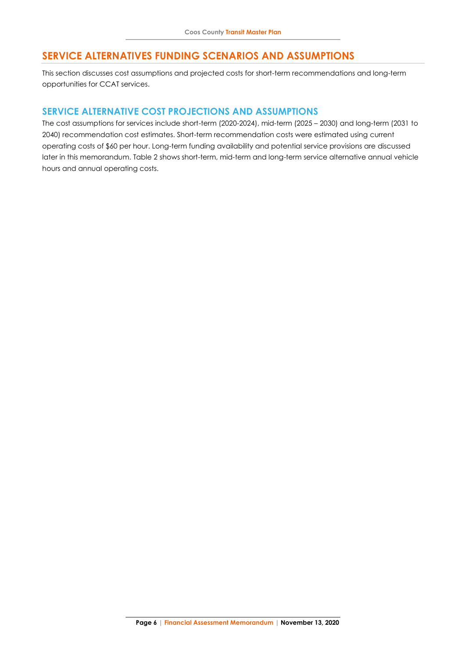# **SERVICE ALTERNATIVES FUNDING SCENARIOS AND ASSUMPTIONS**

This section discusses cost assumptions and projected costs for short-term recommendations and long-term opportunities for CCAT services.

### **SERVICE ALTERNATIVE COST PROJECTIONS AND ASSUMPTIONS**

The cost assumptions for services include short-term (2020-2024), mid-term (2025 – 2030) and long-term (2031 to 2040) recommendation cost estimates. Short-term recommendation costs were estimated using current operating costs of \$60 per hour. Long-term funding availability and potential service provisions are discussed later in this memorandum. Table 2 shows short-term, mid-term and long-term service alternative annual vehicle hours and annual operating costs.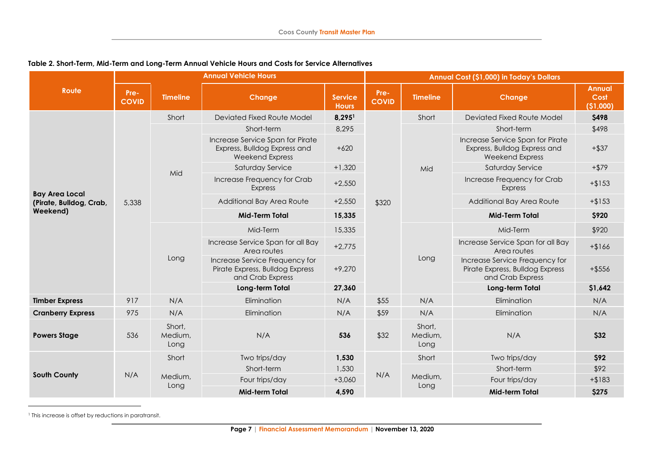|                                                              | <b>Annual Vehicle Hours</b>      |                        |                                                                                            |                                |                      | Annual Cost (\$1,000) in Today's Dollars |                                                                                            |                                    |  |
|--------------------------------------------------------------|----------------------------------|------------------------|--------------------------------------------------------------------------------------------|--------------------------------|----------------------|------------------------------------------|--------------------------------------------------------------------------------------------|------------------------------------|--|
| <b>Route</b>                                                 | Pre-<br><b>COVID</b>             | <b>Timeline</b>        | Change                                                                                     | <b>Service</b><br><b>Hours</b> | Pre-<br><b>COVID</b> | <b>Timeline</b>                          | <b>Change</b>                                                                              | <b>Annual</b><br>Cost<br>(\$1,000) |  |
|                                                              |                                  | Short                  | Deviated Fixed Route Model                                                                 | 8,2951                         |                      | Short                                    | Deviated Fixed Route Model                                                                 | \$498                              |  |
|                                                              |                                  |                        | Short-term                                                                                 | 8,295                          |                      |                                          | Short-term                                                                                 | \$498                              |  |
|                                                              |                                  |                        | Increase Service Span for Pirate<br>Express, Bulldog Express and<br><b>Weekend Express</b> | $+620$                         |                      | Mid                                      | Increase Service Span for Pirate<br>Express, Bulldog Express and<br><b>Weekend Express</b> | $+$ \$37                           |  |
|                                                              |                                  | Mid                    | Saturday Service                                                                           | $+1,320$                       |                      |                                          | Saturday Service                                                                           | $+$ \$79                           |  |
| <b>Bay Area Local</b><br>(Pirate, Bulldog, Crab,<br>Weekend) | 5,338                            |                        | Increase Frequency for Crab<br><b>Express</b>                                              | $+2,550$                       |                      |                                          | Increase Frequency for Crab<br><b>Express</b>                                              | $+ $153$                           |  |
|                                                              |                                  |                        | Additional Bay Area Route                                                                  | $+2,550$                       | \$320                |                                          | Additional Bay Area Route                                                                  | $+ $153$                           |  |
|                                                              |                                  |                        | <b>Mid-Term Total</b>                                                                      | 15,335                         |                      |                                          | <b>Mid-Term Total</b>                                                                      | \$920                              |  |
|                                                              |                                  |                        | Mid-Term                                                                                   | 15,335                         |                      |                                          | Mid-Term                                                                                   | \$920                              |  |
|                                                              |                                  |                        | Increase Service Span for all Bay<br>Area routes                                           | $+2,775$                       |                      |                                          | Increase Service Span for all Bay<br>Area routes                                           | $+ $166$                           |  |
|                                                              |                                  | Long                   | Increase Service Frequency for<br>Pirate Express, Bulldog Express<br>and Crab Express      | $+9,270$                       |                      | Long                                     | Increase Service Frequency for<br>Pirate Express, Bulldog Express<br>and Crab Express      | $+$ \$556                          |  |
|                                                              |                                  |                        | Long-term Total                                                                            | 27,360                         |                      |                                          | Long-term Total                                                                            | \$1,642                            |  |
| <b>Timber Express</b>                                        | 917                              | N/A                    | Elimination                                                                                | N/A                            | \$55                 | N/A                                      | Elimination                                                                                | N/A                                |  |
| <b>Cranberry Express</b>                                     | 975                              | N/A                    | Elimination                                                                                | N/A                            | \$59                 | N/A                                      | Elimination                                                                                | N/A                                |  |
| <b>Powers Stage</b>                                          | Short,<br>536<br>Medium,<br>Long |                        | N/A                                                                                        | 536                            | \$32                 | Short,<br>Medium,<br>Long                | N/A                                                                                        | \$32                               |  |
|                                                              |                                  | Short                  | Two trips/day                                                                              | 1,530                          |                      | Short                                    | Two trips/day                                                                              | <b>S92</b>                         |  |
|                                                              |                                  |                        | Short-term                                                                                 | 1,530                          |                      |                                          | Short-term                                                                                 | \$92                               |  |
| <b>South County</b>                                          |                                  | N/A<br>Medium,<br>Long | Four trips/day                                                                             | $+3,060$                       | N/A                  | Medium,                                  | Four trips/day                                                                             | $+ $183$                           |  |
|                                                              |                                  |                        | <b>Mid-term Total</b>                                                                      | 4,590                          |                      | Long                                     | Mid-term Total                                                                             | \$275                              |  |

### **Table 2. Short-Term, Mid-Term and Long-Term Annual Vehicle Hours and Costs for Service Alternatives**

<sup>&</sup>lt;sup>1</sup> This increase is offset by reductions in paratransit.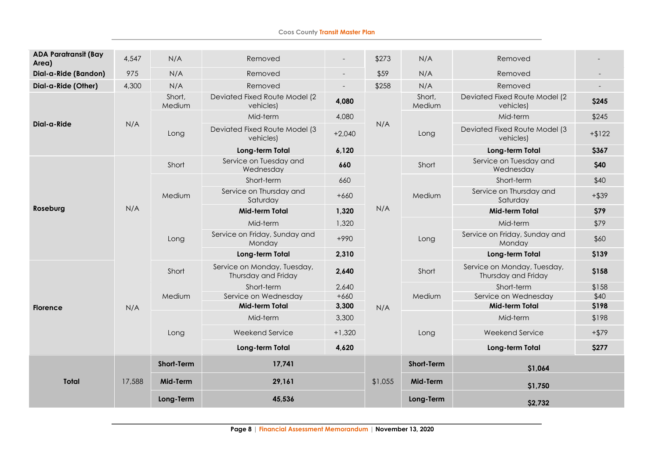#### **Coos County Transit Master Plan**

| <b>ADA Paratransit (Bay</b><br>Area) | 4,547  | N/A               | Removed                                            | $\overline{\phantom{a}}$ | \$273     | N/A               | Removed                                            |          |
|--------------------------------------|--------|-------------------|----------------------------------------------------|--------------------------|-----------|-------------------|----------------------------------------------------|----------|
| Dial-a-Ride (Bandon)                 | 975    | N/A               | Removed                                            | $\overline{\phantom{a}}$ | \$59      | N/A               | Removed                                            |          |
| Dial-a-Ride (Other)                  | 4,300  | N/A               | Removed                                            | $\overline{\phantom{a}}$ | \$258     | N/A               | Removed                                            |          |
|                                      |        | Short,<br>Medium  | Deviated Fixed Route Model (2<br>vehicles)         | 4,080                    |           | Short,<br>Medium  | Deviated Fixed Route Model (2<br>vehicles)         | \$245    |
|                                      |        |                   | Mid-term                                           | 4,080                    | N/A       |                   | Mid-term                                           | \$245    |
| Dial-a-Ride                          | N/A    | Long              | Deviated Fixed Route Model (3<br>vehicles)         | $+2,040$                 |           | Long              | Deviated Fixed Route Model (3<br>vehicles)         | $+ $122$ |
|                                      |        |                   | Long-term Total                                    | 6,120                    |           |                   | Long-term Total                                    | \$367    |
|                                      |        | Short             | Service on Tuesday and<br>Wednesday                | 660                      |           | Short             | Service on Tuesday and<br>Wednesday                | \$40     |
| Roseburg                             |        | Medium            | Short-term                                         | 660                      |           |                   | Short-term                                         | \$40     |
|                                      |        |                   | Service on Thursday and<br>Saturday                | $+660$                   |           | Medium            | Service on Thursday and<br>Saturday                | $+$ \$39 |
|                                      | N/A    |                   | Mid-term Total                                     | 1,320                    | N/A       |                   | Mid-term Total                                     | \$79     |
|                                      |        | Long              | Mid-term                                           | 1,320                    |           |                   | Mid-term                                           | \$79     |
|                                      |        |                   | Service on Friday, Sunday and<br>Monday            | $+990$                   |           | Long              | Service on Friday, Sunday and<br>Monday            | \$60     |
|                                      |        |                   | Long-term Total                                    | 2,310                    |           |                   | Long-term Total                                    | \$139    |
|                                      |        | Short             | Service on Monday, Tuesday,<br>Thursday and Friday | 2,640                    |           | Short             | Service on Monday, Tuesday,<br>Thursday and Friday | \$158    |
|                                      |        |                   | Short-term                                         | 2,640                    |           |                   | Short-term                                         | \$158    |
|                                      |        | Medium            | Service on Wednesday                               | $+660$                   |           | Medium            | Service on Wednesday                               | \$40     |
| <b>Florence</b>                      | N/A    |                   | <b>Mid-term Total</b>                              | 3,300                    | N/A       |                   | Mid-term Total                                     | \$198    |
|                                      |        |                   | Mid-term                                           | 3,300                    |           |                   | Mid-term                                           | \$198    |
|                                      |        | Long              | Weekend Service                                    | $+1,320$                 |           | Long              | Weekend Service                                    | $+$ \$79 |
|                                      |        |                   | Long-term Total                                    | 4,620                    |           |                   | Long-term Total                                    | \$277    |
|                                      |        | <b>Short-Term</b> | 17,741                                             |                          |           | <b>Short-Term</b> | \$1,064                                            |          |
| <b>Total</b>                         | 17,588 | Mid-Term          | 29,161                                             |                          | \$1,055   | Mid-Term          | \$1,750                                            |          |
|                                      |        | Long-Term         | 45,536                                             |                          | Long-Term | \$2,732           |                                                    |          |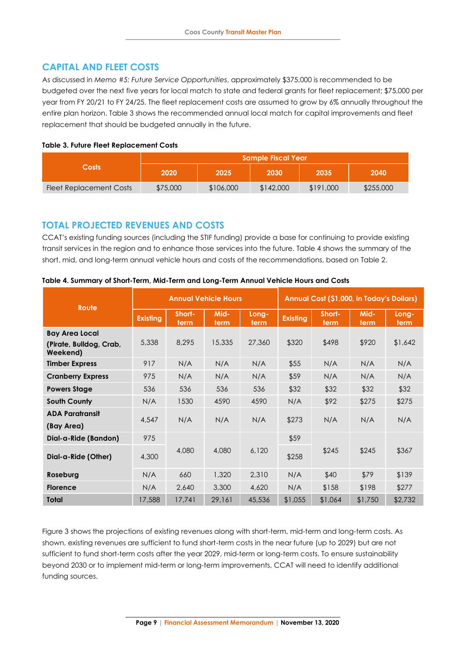# **CAPITAL AND FLEET COSTS**

As discussed in *Memo #5: Future Service Opportunities*, approximately \$375,000 is recommended to be budgeted over the next five years for local match to state and federal grants for fleet replacement; \$75,000 per year from FY 20/21 to FY 24/25. The fleet replacement costs are assumed to grow by 6% annually throughout the entire plan horizon. Table 3 shows the recommended annual local match for capital improvements and fleet replacement that should be budgeted annually in the future.

#### **Table 3. Future Fleet Replacement Costs**

|                         | <b>Sample Fiscal Year</b> |           |           |           |           |  |  |  |
|-------------------------|---------------------------|-----------|-----------|-----------|-----------|--|--|--|
| $\mathsf{Costs}^1$      | 2020                      | 2025'     | 2030      | 2035      | 2040      |  |  |  |
| Fleet Replacement Costs | \$75,000                  | \$106,000 | \$142,000 | \$191,000 | \$255,000 |  |  |  |

## **TOTAL PROJECTED REVENUES AND COSTS**

CCAT's existing funding sources (including the STIF funding) provide a base for continuing to provide existing transit services in the region and to enhance those services into the future. Table 4 shows the summary of the short, mid, and long-term annual vehicle hours and costs of the recommendations, based on Table 2.

| Route                               |                 |                | <b>Annual Vehicle Hours</b> |               | Annual Cost (\$1,000, in Today's Dollars) |                |              |               |  |
|-------------------------------------|-----------------|----------------|-----------------------------|---------------|-------------------------------------------|----------------|--------------|---------------|--|
|                                     | <b>Existing</b> | Short-<br>term | Mid-<br>term                | Long-<br>term | <b>Existing</b>                           | Short-<br>term | Mid-<br>term | Long-<br>term |  |
| <b>Bay Area Local</b>               |                 |                |                             |               |                                           |                |              |               |  |
| (Pirate, Bulldog, Crab,<br>Weekend) | 5,338           | 8,295          | 15,335                      | 27,360        | \$320                                     | \$498          | \$920        | \$1,642       |  |
| <b>Timber Express</b>               | 917             | N/A            | N/A                         | N/A           | \$55                                      | N/A            | N/A          | N/A           |  |
| <b>Cranberry Express</b>            | 975             | N/A            | N/A                         | N/A           | \$59                                      | N/A            | N/A          | N/A           |  |
| <b>Powers Stage</b>                 | 536             | 536            | 536                         | 536           | \$32                                      | \$32           | \$32         | \$32          |  |
| <b>South County</b>                 | N/A             | 1530           | 4590                        | 4590          | N/A                                       | \$92           | \$275        | \$275         |  |
| <b>ADA Paratransit</b>              | 4,547           | N/A            | N/A                         | N/A           | \$273                                     | N/A            | N/A          | N/A           |  |
| (Bay Area)                          |                 |                |                             |               |                                           |                |              |               |  |
| Dial-a-Ride (Bandon)                | 975             |                |                             |               | \$59                                      |                |              |               |  |
| Dial-a-Ride (Other)                 | 4,300           | 4,080          | 4,080                       | 6,120         | \$258                                     | \$245          | \$245        | \$367         |  |
| Roseburg                            | N/A             | 660            | 1,320                       | 2,310         | N/A                                       | \$40           | \$79         | \$139         |  |
| <b>Florence</b>                     | N/A             | 2,640          | 3,300                       | 4,620         | N/A                                       | \$158          | \$198        | \$277         |  |
| <b>Total</b>                        | 17,588          | 17,741         | 29,161                      | 45,536        | \$1,055                                   | \$1,064        | \$1,750      | \$2,732       |  |

#### **Table 4. Summary of Short-Term, Mid-Term and Long-Term Annual Vehicle Hours and Costs**

Figure 3 shows the projections of existing revenues along with short-term, mid-term and long-term costs. As shown, existing revenues are sufficient to fund short-term costs in the near future (up to 2029) but are not sufficient to fund short-term costs after the year 2029, mid-term or long-term costs. To ensure sustainability beyond 2030 or to implement mid-term or long-term improvements, CCAT will need to identify additional funding sources.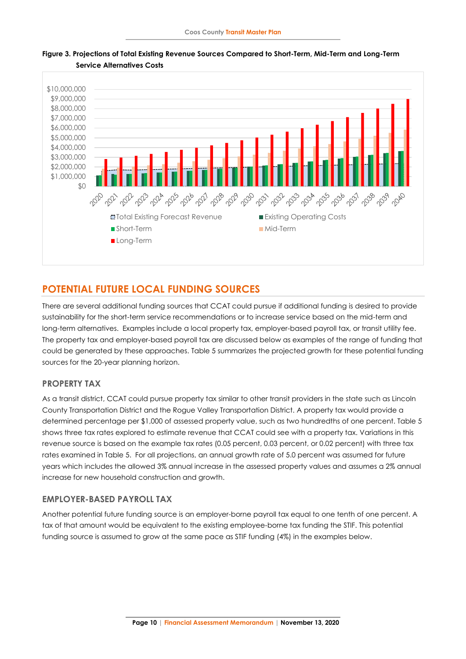

#### **Figure 3. Projections of Total Existing Revenue Sources Compared to Short-Term, Mid-Term and Long-Term Service Alternatives Costs**

# **POTENTIAL FUTURE LOCAL FUNDING SOURCES**

There are several additional funding sources that CCAT could pursue if additional funding is desired to provide sustainability for the short-term service recommendations or to increase service based on the mid-term and long-term alternatives. Examples include a local property tax, employer-based payroll tax, or transit utility fee. The property tax and employer-based payroll tax are discussed below as examples of the range of funding that could be generated by these approaches. Table 5 summarizes the projected growth for these potential funding sources for the 20-year planning horizon.

### **PROPERTY TAX**

As a transit district, CCAT could pursue property tax similar to other transit providers in the state such as Lincoln County Transportation District and the Rogue Valley Transportation District. A property tax would provide a determined percentage per \$1,000 of assessed property value, such as two hundredths of one percent. Table 5 shows three tax rates explored to estimate revenue that CCAT could see with a property tax. Variations in this revenue source is based on the example tax rates (0.05 percent, 0.03 percent, or 0.02 percent) with three tax rates examined in Table 5. For all projections, an annual growth rate of 5.0 percent was assumed for future years which includes the allowed 3% annual increase in the assessed property values and assumes a 2% annual increase for new household construction and growth.

### **EMPLOYER-BASED PAYROLL TAX**

Another potential future funding source is an employer-borne payroll tax equal to one tenth of one percent. A tax of that amount would be equivalent to the existing employee-borne tax funding the STIF. This potential funding source is assumed to grow at the same pace as STIF funding (4%) in the examples below.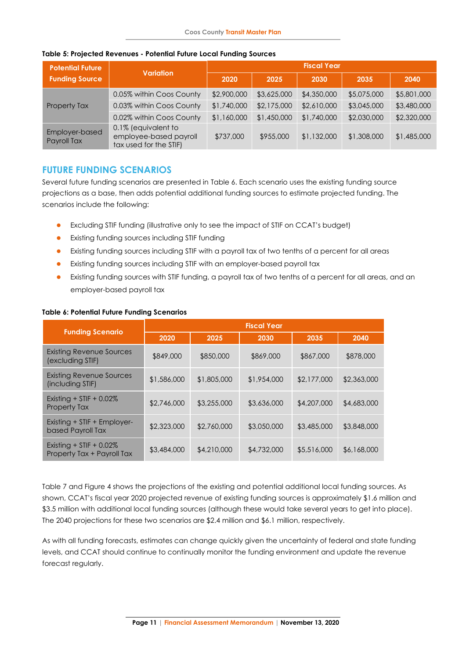| <b>Potential Future</b>       |                                                                         | <b>Fiscal Year</b> |             |             |             |             |  |  |  |
|-------------------------------|-------------------------------------------------------------------------|--------------------|-------------|-------------|-------------|-------------|--|--|--|
| <b>Funding Source</b>         | <b>Variation</b>                                                        | 2020               | 2025        | 2030        | 2035        | 2040        |  |  |  |
|                               | 0.05% within Coos County                                                | \$2,900,000        | \$3,625,000 | \$4,350,000 | \$5,075,000 | \$5,801,000 |  |  |  |
| Property Tax                  | 0.03% within Coos County                                                | \$1,740,000        | \$2,175,000 | \$2,610,000 | \$3,045,000 | \$3,480,000 |  |  |  |
|                               | 0.02% within Coos County                                                | \$1,160,000        | \$1,450,000 | \$1,740,000 | \$2,030,000 | \$2,320,000 |  |  |  |
| Employer-based<br>Payroll Tax | 0.1% (equivalent to<br>employee-based payroll<br>tax used for the STIF) | \$737,000          | \$955,000   | \$1,132,000 | \$1,308,000 | \$1,485,000 |  |  |  |

#### **Table 5: Projected Revenues - Potential Future Local Funding Sources**

# **FUTURE FUNDING SCENARIOS**

Several future funding scenarios are presented in Table 6. Each scenario uses the existing funding source projections as a base, then adds potential additional funding sources to estimate projected funding. The scenarios include the following:

- ⚫ Excluding STIF funding (illustrative only to see the impact of STIF on CCAT's budget)
- ⚫ Existing funding sources including STIF funding
- ⚫ Existing funding sources including STIF with a payroll tax of two tenths of a percent for all areas
- Existing funding sources including STIF with an employer-based payroll tax
- ⚫ Existing funding sources with STIF funding, a payroll tax of two tenths of a percent for all areas, and an employer-based payroll tax

| <b>Funding Scenario</b>                                   | <b>Fiscal Year</b> |             |             |             |             |  |  |  |  |
|-----------------------------------------------------------|--------------------|-------------|-------------|-------------|-------------|--|--|--|--|
|                                                           | 2020               | 2025        | 2030        | 2035        | 2040        |  |  |  |  |
| Existing Revenue Sources<br>(excluding STIF)              | \$849,000          | \$850,000   | \$869,000   | \$867,000   | \$878,000   |  |  |  |  |
| <b>Existing Revenue Sources</b><br>(including STIF)       | \$1,586,000        | \$1,805,000 | \$1,954,000 | \$2,177,000 | \$2,363,000 |  |  |  |  |
| Existing $+$ STIF $+$ 0.02%<br><b>Property Tax</b>        | \$2,746,000        | \$3,255,000 | \$3,636,000 | \$4,207,000 | \$4,683,000 |  |  |  |  |
| Existing + STIF + Employer-<br>based Payroll Tax          | \$2,323,000        | \$2,760,000 | \$3,050,000 | \$3,485,000 | \$3,848,000 |  |  |  |  |
| Existing $+$ STIF $+$ 0.02%<br>Property Tax + Payroll Tax | \$3,484,000        | \$4,210,000 | \$4,732,000 | \$5,516,000 | \$6,168,000 |  |  |  |  |

#### **Table 6: Potential Future Funding Scenarios**

Table 7 and Figure 4 shows the projections of the existing and potential additional local funding sources. As shown, CCAT's fiscal year 2020 projected revenue of existing funding sources is approximately \$1.6 million and \$3.5 million with additional local funding sources (although these would take several years to get into place). The 2040 projections for these two scenarios are \$2.4 million and \$6.1 million, respectively.

As with all funding forecasts, estimates can change quickly given the uncertainty of federal and state funding levels, and CCAT should continue to continually monitor the funding environment and update the revenue forecast regularly.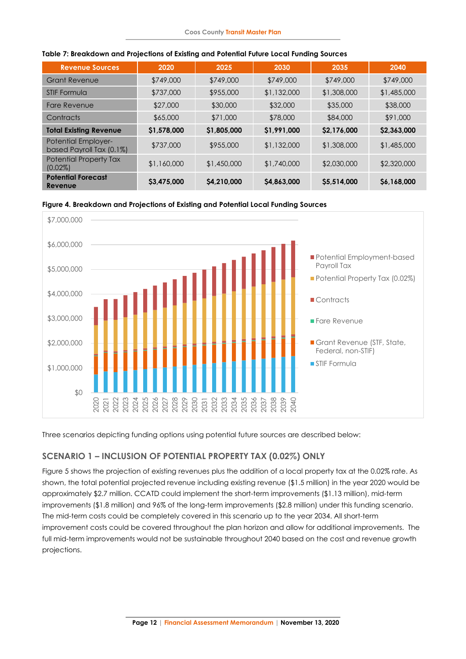| <b>Revenue Sources</b>                                 | 2020        | 2025        | 2030        | 2035        | 2040        |
|--------------------------------------------------------|-------------|-------------|-------------|-------------|-------------|
| <b>Grant Revenue</b>                                   | \$749,000   | \$749,000   | \$749,000   | \$749,000   | \$749,000   |
| STIF Formula                                           | \$737,000   | \$955,000   | \$1,132,000 | \$1,308,000 | \$1,485,000 |
| <b>Fare Revenue</b>                                    | \$27,000    | \$30,000    | \$32,000    | \$35,000    | \$38,000    |
| Contracts                                              | \$65,000    | \$71,000    | \$78,000    | \$84,000    | \$91,000    |
| <b>Total Existing Revenue</b>                          | \$1,578,000 | \$1,805,000 | \$1,991,000 | \$2,176,000 | \$2,363,000 |
| <b>Potential Employer-</b><br>based Payroll Tax (0.1%) | \$737,000   | \$955,000   | \$1,132,000 | \$1,308,000 | \$1,485,000 |
| Potential Property Tax<br>$(0.02\%)$                   | \$1,160,000 | \$1,450,000 | \$1,740,000 | \$2,030,000 | \$2,320,000 |
| <b>Potential Forecast</b><br>Revenue                   | \$3,475,000 | \$4,210,000 | \$4,863,000 | \$5,514,000 | \$6,168,000 |

#### **Table 7: Breakdown and Projections of Existing and Potential Future Local Funding Sources**

**Figure 4. Breakdown and Projections of Existing and Potential Local Funding Sources**



Three scenarios depicting funding options using potential future sources are described below:

# **SCENARIO 1 – INCLUSION OF POTENTIAL PROPERTY TAX (0.02%) ONLY**

Figure 5 shows the projection of existing revenues plus the addition of a local property tax at the 0.02% rate. As shown, the total potential projected revenue including existing revenue (\$1.5 million) in the year 2020 would be approximately \$2.7 million. CCATD could implement the short-term improvements (\$1.13 million), mid-term improvements (\$1.8 million) and 96% of the long-term improvements (\$2.8 million) under this funding scenario. The mid-term costs could be completely covered in this scenario up to the year 2034. All short-term improvement costs could be covered throughout the plan horizon and allow for additional improvements. The full mid-term improvements would not be sustainable throughout 2040 based on the cost and revenue growth projections.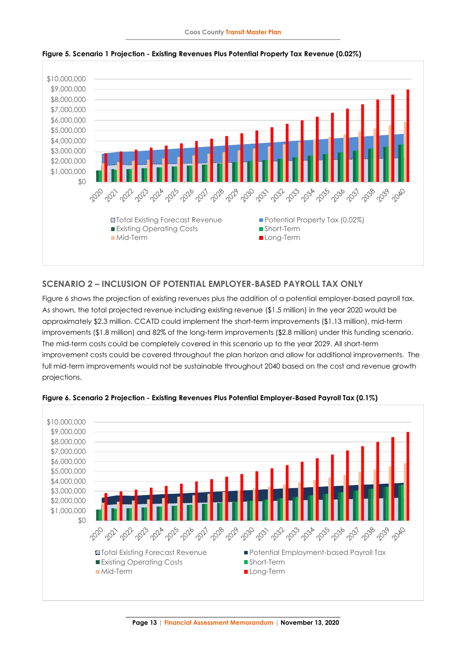

**Figure 5. Scenario 1 Projection - Existing Revenues Plus Potential Property Tax Revenue (0.02%)**

# **SCENARIO 2 – INCLUSION OF POTENTIAL EMPLOYER-BASED PAYROLL TAX ONLY**

Figure 6 shows the projection of existing revenues plus the addition of a potential employer-based payroll tax. As shown, the total projected revenue including existing revenue (\$1.5 million) in the year 2020 would be approximately \$2.3 million. CCATD could implement the short-term improvements (\$1.13 million), mid-term improvements (\$1.8 million) and 82% of the long-term improvements (\$2.8 million) under this funding scenario. The mid-term costs could be completely covered in this scenario up to the year 2029. All short-term improvement costs could be covered throughout the plan horizon and allow for additional improvements. The full mid-term improvements would not be sustainable throughout 2040 based on the cost and revenue growth projections.



**Figure 6. Scenario 2 Projection - Existing Revenues Plus Potential Employer-Based Payroll Tax (0.1%)**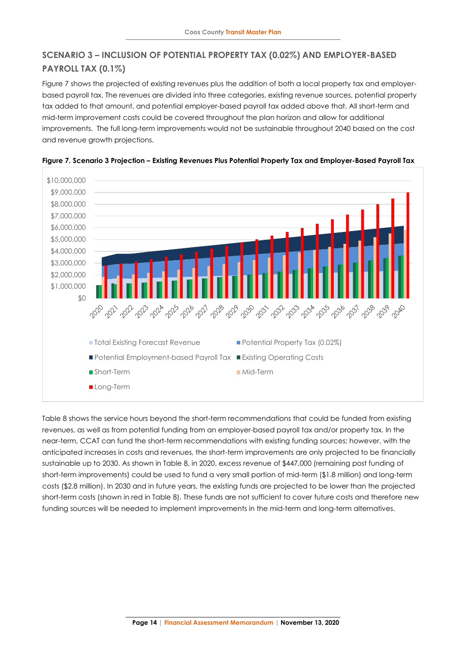# **SCENARIO 3 – INCLUSION OF POTENTIAL PROPERTY TAX (0.02%) AND EMPLOYER-BASED PAYROLL TAX (0.1%)**

Figure 7 shows the projected of existing revenues plus the addition of both a local property tax and employerbased payroll tax. The revenues are divided into three categories, existing revenue sources, potential property tax added to that amount, and potential employer-based payroll tax added above that. All short-term and mid-term improvement costs could be covered throughout the plan horizon and allow for additional improvements. The full long-term improvements would not be sustainable throughout 2040 based on the cost and revenue growth projections.





Table 8 shows the service hours beyond the short-term recommendations that could be funded from existing revenues, as well as from potential funding from an employer-based payroll tax and/or property tax. In the near-term, CCAT can fund the short-term recommendations with existing funding sources; however, with the anticipated increases in costs and revenues, the short-term improvements are only projected to be financially sustainable up to 2030. As shown in Table 8, in 2020, excess revenue of \$447,000 (remaining post funding of short-term improvements) could be used to fund a very small portion of mid-term (\$1.8 million) and long-term costs (\$2.8 million). In 2030 and in future years, the existing funds are projected to be lower than the projected short-term costs (shown in red in Table 8). These funds are not sufficient to cover future costs and therefore new funding sources will be needed to implement improvements in the mid-term and long-term alternatives.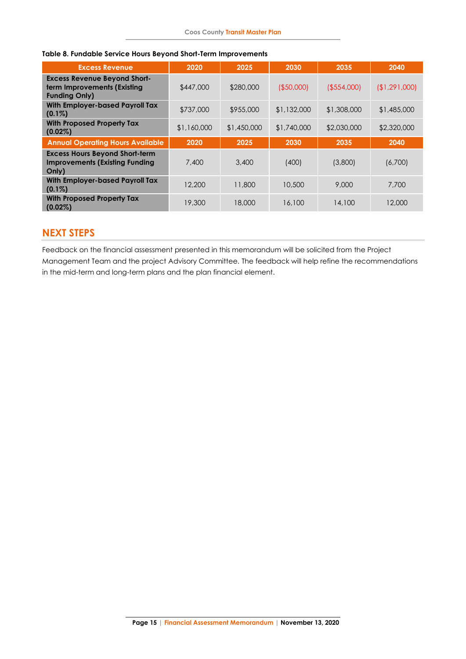| Table 8. Fundable Service Hours Beyond Short-Term Improvements |  |  |  |  |
|----------------------------------------------------------------|--|--|--|--|

| <b>Excess Revenue</b>                                                                      | 2020        | 2025        | 2030          | 2035           | 2040        |
|--------------------------------------------------------------------------------------------|-------------|-------------|---------------|----------------|-------------|
| <b>Excess Revenue Beyond Short-</b><br>term Improvements (Existing<br><b>Funding Only)</b> | \$447,000   | \$280,000   | $($ \$50,000) | $($ \$554,000) | (1,291,000) |
| <b>With Employer-based Payroll Tax</b><br>$(0.1\%)$                                        | \$737,000   | \$955,000   | \$1,132,000   | \$1,308,000    | \$1,485,000 |
| <b>With Proposed Property Tax</b><br>$(0.02\%)$                                            | \$1,160,000 | \$1,450,000 | \$1,740,000   | \$2,030,000    | \$2,320,000 |
| <b>Annual Operating Hours Available</b>                                                    | 2020        | 2025        | 2030          | 2035           | 2040        |
| <b>Excess Hours Beyond Short-term</b><br><b>Improvements (Existing Funding</b><br>Only)    | 7,400       | 3,400       | (400)         | (3,800)        | (6,700)     |
| <b>With Employer-based Payroll Tax</b><br>$(0.1\%)$                                        | 12,200      | 11,800      | 10,500        | 9,000          | 7,700       |
| <b>With Proposed Property Tax</b><br>$(0.02\%)$                                            | 19,300      | 18,000      | 16,100        | 14,100         | 12,000      |

# <span id="page-14-0"></span>**NEXT STEPS**

Feedback on the financial assessment presented in this memorandum will be solicited from the Project Management Team and the project Advisory Committee. The feedback will help refine the recommendations in the mid-term and long-term plans and the plan financial element.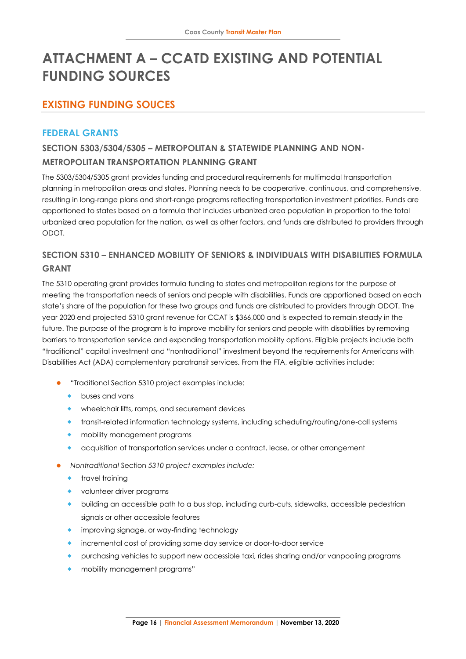# **ATTACHMENT A – CCATD EXISTING AND POTENTIAL FUNDING SOURCES**

# **EXISTING FUNDING SOUCES**

# **FEDERAL GRANTS**

# **SECTION 5303/5304/5305 – METROPOLITAN & STATEWIDE PLANNING AND NON-METROPOLITAN TRANSPORTATION PLANNING GRANT**

The 5303/5304/5305 grant provides funding and procedural requirements for multimodal transportation planning in metropolitan areas and states. Planning needs to be cooperative, continuous, and comprehensive, resulting in long-range plans and short-range programs reflecting transportation investment priorities. Funds are apportioned to states based on a formula that includes urbanized area population in proportion to the total urbanized area population for the nation, as well as other factors, and funds are distributed to providers through ODOT.

# **SECTION 5310 – ENHANCED MOBILITY OF SENIORS & INDIVIDUALS WITH DISABILITIES FORMULA GRANT**

The 5310 operating grant provides formula funding to states and metropolitan regions for the purpose of meeting the transportation needs of seniors and people with disabilities. Funds are apportioned based on each state's share of the population for these two groups and funds are distributed to providers through ODOT. The year 2020 end projected 5310 grant revenue for CCAT is \$366,000 and is expected to remain steady in the future. The purpose of the program is to improve mobility for seniors and people with disabilities by removing barriers to transportation service and expanding transportation mobility options. Eligible projects include both "traditional" capital investment and "nontraditional" investment beyond the requirements for Americans with Disabilities Act (ADA) complementary paratransit services. From the FTA, eligible activities include:

- ⚫ "Traditional Section 5310 project examples include:
	- buses and vans
	- wheelchair lifts, ramps, and securement devices
	- transit-related information technology systems, including scheduling/routing/one-call systems
	- mobility management programs
	- acquisition of transportation services under a contract, lease, or other arrangement
- ⚫ *Nontraditional* Section *5310 project examples include:*
	- travel training
	- volunteer driver programs
	- building an accessible path to a bus stop, including curb-cuts, sidewalks, accessible pedestrian signals or other accessible features
	- **•** improving signage, or way-finding technology
	- incremental cost of providing same day service or door-to-door service
	- purchasing vehicles to support new accessible taxi, rides sharing and/or vanpooling programs
	- mobility management programs"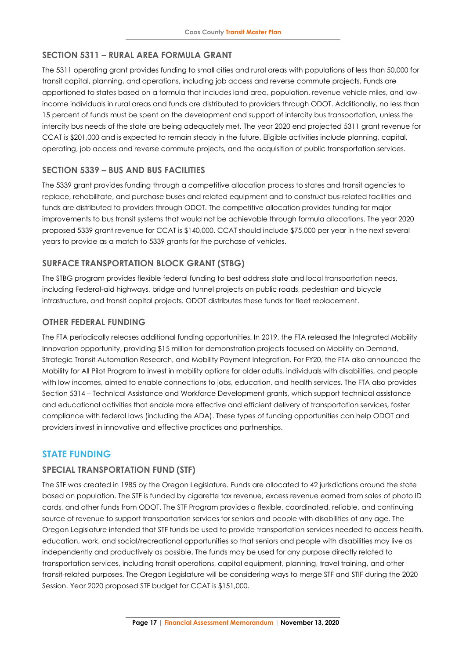## **SECTION 5311 – RURAL AREA FORMULA GRANT**

The 5311 operating grant provides funding to small cities and rural areas with populations of less than 50,000 for transit capital, planning, and operations, including job access and reverse commute projects. Funds are apportioned to states based on a formula that includes land area, population, revenue vehicle miles, and lowincome individuals in rural areas and funds are distributed to providers through ODOT. Additionally, no less than 15 percent of funds must be spent on the development and support of intercity bus transportation, unless the intercity bus needs of the state are being adequately met. The year 2020 end projected 5311 grant revenue for CCAT is \$201,000 and is expected to remain steady in the future. Eligible activities include planning, capital, operating, job access and reverse commute projects, and the acquisition of public transportation services.

## **SECTION 5339 – BUS AND BUS FACILITIES**

The 5339 grant provides funding through a competitive allocation process to states and transit agencies to replace, rehabilitate, and purchase buses and related equipment and to construct bus-related facilities and funds are distributed to providers through ODOT. The competitive allocation provides funding for major improvements to bus transit systems that would not be achievable through formula allocations. The year 2020 proposed 5339 grant revenue for CCAT is \$140,000. CCAT should include \$75,000 per year in the next several years to provide as a match to 5339 grants for the purchase of vehicles.

## **SURFACE TRANSPORTATION BLOCK GRANT (STBG)**

The STBG program provides flexible federal funding to best address state and local transportation needs, including Federal-aid highways, bridge and tunnel projects on public roads, pedestrian and bicycle infrastructure, and transit capital projects. ODOT distributes these funds for fleet replacement.

### **OTHER FEDERAL FUNDING**

The FTA periodically releases additional funding opportunities. In 2019, the FTA released the Integrated Mobility Innovation opportunity, providing \$15 million for demonstration projects focused on Mobility on Demand, Strategic Transit Automation Research, and Mobility Payment Integration. For FY20, the FTA also announced the Mobility for All Pilot Program to invest in mobility options for older adults, individuals with disabilities, and people with low incomes, aimed to enable connections to jobs, education, and health services. The FTA also provides Section 5314 – Technical Assistance and Workforce Development grants, which support technical assistance and educational activities that enable more effective and efficient delivery of transportation services, foster compliance with federal laws (including the ADA). These types of funding opportunities can help ODOT and providers invest in innovative and effective practices and partnerships.

# **STATE FUNDING**

### **SPECIAL TRANSPORTATION FUND (STF)**

The STF was created in 1985 by the Oregon Legislature. Funds are allocated to 42 jurisdictions around the state based on population. The STF is funded by cigarette tax revenue, excess revenue earned from sales of photo ID cards, and other funds from ODOT. The STF Program provides a flexible, coordinated, reliable, and continuing source of revenue to support transportation services for seniors and people with disabilities of any age. The Oregon Legislature intended that STF funds be used to provide transportation services needed to access health, education, work, and social/recreational opportunities so that seniors and people with disabilities may live as independently and productively as possible. The funds may be used for any purpose directly related to transportation services, including transit operations, capital equipment, planning, travel training, and other transit-related purposes. The Oregon Legislature will be considering ways to merge STF and STIF during the 2020 Session. Year 2020 proposed STF budget for CCAT is \$151,000.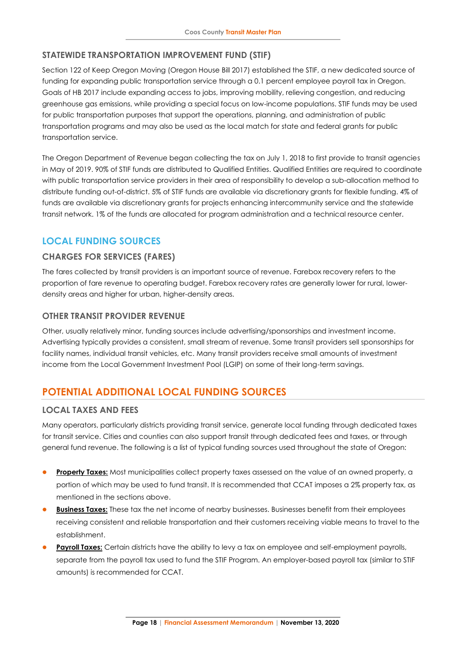## **STATEWIDE TRANSPORTATION IMPROVEMENT FUND (STIF)**

Section 122 of Keep Oregon Moving (Oregon House Bill 2017) established the STIF, a new dedicated source of funding for expanding public transportation service through a 0.1 percent employee payroll tax in Oregon. Goals of HB 2017 include expanding access to jobs, improving mobility, relieving congestion, and reducing greenhouse gas emissions, while providing a special focus on low-income populations. STIF funds may be used for public transportation purposes that support the operations, planning, and administration of public transportation programs and may also be used as the local match for state and federal grants for public transportation service.

The Oregon Department of Revenue began collecting the tax on July 1, 2018 to first provide to transit agencies in May of 2019. 90% of STIF funds are distributed to Qualified Entities. Qualified Entities are required to coordinate with public transportation service providers in their area of responsibility to develop a sub-allocation method to distribute funding out-of-district. 5% of STIF funds are available via discretionary grants for flexible funding. 4% of funds are available via discretionary grants for projects enhancing intercommunity service and the statewide transit network. 1% of the funds are allocated for program administration and a technical resource center.

# **LOCAL FUNDING SOURCES**

## **CHARGES FOR SERVICES (FARES)**

The fares collected by transit providers is an important source of revenue. Farebox recovery refers to the proportion of fare revenue to operating budget. Farebox recovery rates are generally lower for rural, lowerdensity areas and higher for urban, higher-density areas.

### **OTHER TRANSIT PROVIDER REVENUE**

Other, usually relatively minor, funding sources include advertising/sponsorships and investment income. Advertising typically provides a consistent, small stream of revenue. Some transit providers sell sponsorships for facility names, individual transit vehicles, etc. Many transit providers receive small amounts of investment income from the Local Government Investment Pool (LGIP) on some of their long-term savings.

# **POTENTIAL ADDITIONAL LOCAL FUNDING SOURCES**

### **LOCAL TAXES AND FEES**

Many operators, particularly districts providing transit service, generate local funding through dedicated taxes for transit service. Cities and counties can also support transit through dedicated fees and taxes, or through general fund revenue. The following is a list of typical funding sources used throughout the state of Oregon:

- Property Taxes: Most municipalities collect property taxes assessed on the value of an owned property, a portion of which may be used to fund transit. It is recommended that CCAT imposes a 2% property tax, as mentioned in the sections above.
- **Business Taxes:** These tax the net income of nearby businesses. Businesses benefit from their employees receiving consistent and reliable transportation and their customers receiving viable means to travel to the establishment.
- Payroll Taxes: Certain districts have the ability to levy a tax on employee and self-employment payrolls, separate from the payroll tax used to fund the STIF Program. An employer-based payroll tax (similar to STIF amounts) is recommended for CCAT.